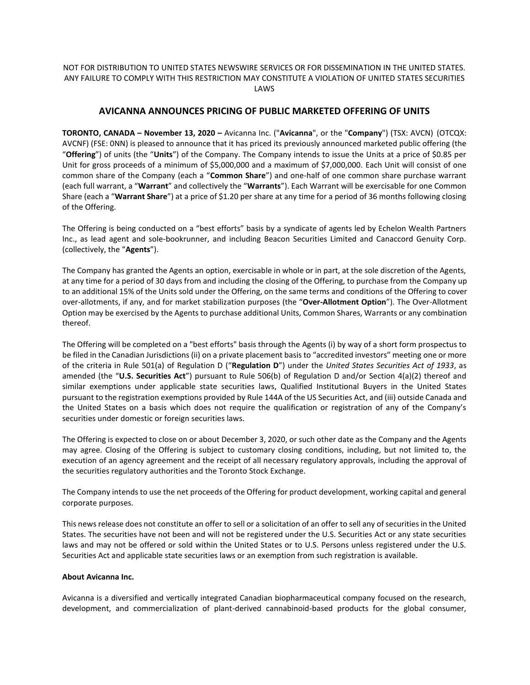## NOT FOR DISTRIBUTION TO UNITED STATES NEWSWIRE SERVICES OR FOR DISSEMINATION IN THE UNITED STATES. ANY FAILURE TO COMPLY WITH THIS RESTRICTION MAY CONSTITUTE A VIOLATION OF UNITED STATES SECURITIES LAWS

# **AVICANNA ANNOUNCES PRICING OF PUBLIC MARKETED OFFERING OF UNITS**

**TORONTO, CANADA – November 13, 2020 –** Avicanna Inc. ("**Avicanna**", or the "**Company**") (TSX: AVCN) (OTCQX: AVCNF) (FSE: 0NN) is pleased to announce that it has priced its previously announced marketed public offering (the "**Offering**") of units (the "**Units**") of the Company. The Company intends to issue the Units at a price of \$0.85 per Unit for gross proceeds of a minimum of \$5,000,000 and a maximum of \$7,000,000. Each Unit will consist of one common share of the Company (each a "**Common Share**") and one-half of one common share purchase warrant (each full warrant, a "**Warrant**" and collectively the "**Warrants**"). Each Warrant will be exercisable for one Common Share (each a "**Warrant Share**") at a price of \$1.20 per share at any time for a period of 36 months following closing of the Offering.

The Offering is being conducted on a "best efforts" basis by a syndicate of agents led by Echelon Wealth Partners Inc., as lead agent and sole-bookrunner, and including Beacon Securities Limited and Canaccord Genuity Corp. (collectively, the "**Agents**").

The Company has granted the Agents an option, exercisable in whole or in part, at the sole discretion of the Agents, at any time for a period of 30 days from and including the closing of the Offering, to purchase from the Company up to an additional 15% of the Units sold under the Offering, on the same terms and conditions of the Offering to cover over-allotments, if any, and for market stabilization purposes (the "**Over-Allotment Option**"). The Over-Allotment Option may be exercised by the Agents to purchase additional Units, Common Shares, Warrants or any combination thereof.

The Offering will be completed on a "best efforts" basis through the Agents (i) by way of a short form prospectus to be filed in the Canadian Jurisdictions (ii) on a private placement basis to "accredited investors" meeting one or more of the criteria in Rule 501(a) of Regulation D ("**Regulation D**") under the *United States Securities Act of 1933*, as amended (the "**U.S. Securities Act**") pursuant to Rule 506(b) of Regulation D and/or Section 4(a)(2) thereof and similar exemptions under applicable state securities laws, Qualified Institutional Buyers in the United States pursuant to the registration exemptions provided by Rule 144A of the US Securities Act, and (iii) outside Canada and the United States on a basis which does not require the qualification or registration of any of the Company's securities under domestic or foreign securities laws.

The Offering is expected to close on or about December 3, 2020, or such other date as the Company and the Agents may agree. Closing of the Offering is subject to customary closing conditions, including, but not limited to, the execution of an agency agreement and the receipt of all necessary regulatory approvals, including the approval of the securities regulatory authorities and the Toronto Stock Exchange.

The Company intends to use the net proceeds of the Offering for product development, working capital and general corporate purposes.

This news release does not constitute an offer to sell or a solicitation of an offer to sell any of securities in the United States. The securities have not been and will not be registered under the U.S. Securities Act or any state securities laws and may not be offered or sold within the United States or to U.S. Persons unless registered under the U.S. Securities Act and applicable state securities laws or an exemption from such registration is available.

### **About Avicanna Inc.**

Avicanna is a diversified and vertically integrated Canadian biopharmaceutical company focused on the research, development, and commercialization of plant-derived cannabinoid-based products for the global consumer,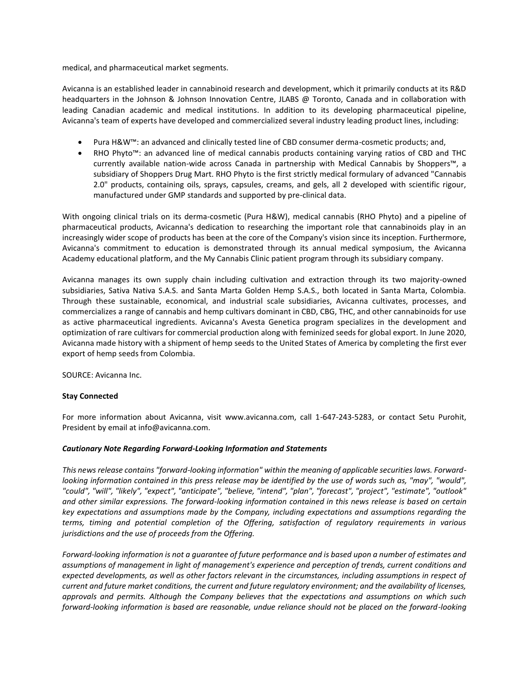medical, and pharmaceutical market segments.

Avicanna is an established leader in cannabinoid research and development, which it primarily conducts at its R&D headquarters in the Johnson & Johnson Innovation Centre, JLABS @ Toronto, Canada and in collaboration with leading Canadian academic and medical institutions. In addition to its developing pharmaceutical pipeline, Avicanna's team of experts have developed and commercialized several industry leading product lines, including:

- Pura H&W™: an advanced and clinically tested line of CBD consumer derma-cosmetic products; and,
- RHO Phyto™: an advanced line of medical cannabis products containing varying ratios of CBD and THC currently available nation-wide across Canada in partnership with Medical Cannabis by Shoppers™, a subsidiary of Shoppers Drug Mart. RHO Phyto is the first strictly medical formulary of advanced "Cannabis 2.0" products, containing oils, sprays, capsules, creams, and gels, all 2 developed with scientific rigour, manufactured under GMP standards and supported by pre-clinical data.

With ongoing clinical trials on its derma-cosmetic (Pura H&W), medical cannabis (RHO Phyto) and a pipeline of pharmaceutical products, Avicanna's dedication to researching the important role that cannabinoids play in an increasingly wider scope of products has been at the core of the Company's vision since its inception. Furthermore, Avicanna's commitment to education is demonstrated through its annual medical symposium, the Avicanna Academy educational platform, and the My Cannabis Clinic patient program through its subsidiary company.

Avicanna manages its own supply chain including cultivation and extraction through its two majority-owned subsidiaries, Sativa Nativa S.A.S. and Santa Marta Golden Hemp S.A.S., both located in Santa Marta, Colombia. Through these sustainable, economical, and industrial scale subsidiaries, Avicanna cultivates, processes, and commercializes a range of cannabis and hemp cultivars dominant in CBD, CBG, THC, and other cannabinoids for use as active pharmaceutical ingredients. Avicanna's Avesta Genetica program specializes in the development and optimization of rare cultivars for commercial production along with feminized seeds for global export. In June 2020, Avicanna made history with a shipment of hemp seeds to the United States of America by completing the first ever export of hemp seeds from Colombia.

SOURCE: Avicanna Inc.

## **Stay Connected**

For more information about Avicanna, visit www.avicanna.com, call 1-647-243-5283, or contact Setu Purohit, President by email at info@avicanna.com.

#### *Cautionary Note Regarding Forward-Looking Information and Statements*

*This news release contains "forward-looking information" within the meaning of applicable securities laws. Forwardlooking information contained in this press release may be identified by the use of words such as, "may", "would", "could", "will", "likely", "expect", "anticipate", "believe, "intend", "plan", "forecast", "project", "estimate", "outlook" and other similar expressions. The forward-looking information contained in this news release is based on certain key expectations and assumptions made by the Company, including expectations and assumptions regarding the terms, timing and potential completion of the Offering, satisfaction of regulatory requirements in various jurisdictions and the use of proceeds from the Offering.* 

*Forward-looking information is not a guarantee of future performance and is based upon a number of estimates and assumptions of management in light of management's experience and perception of trends, current conditions and expected developments, as well as other factors relevant in the circumstances, including assumptions in respect of current and future market conditions, the current and future regulatory environment; and the availability of licenses, approvals and permits. Although the Company believes that the expectations and assumptions on which such forward-looking information is based are reasonable, undue reliance should not be placed on the forward-looking*